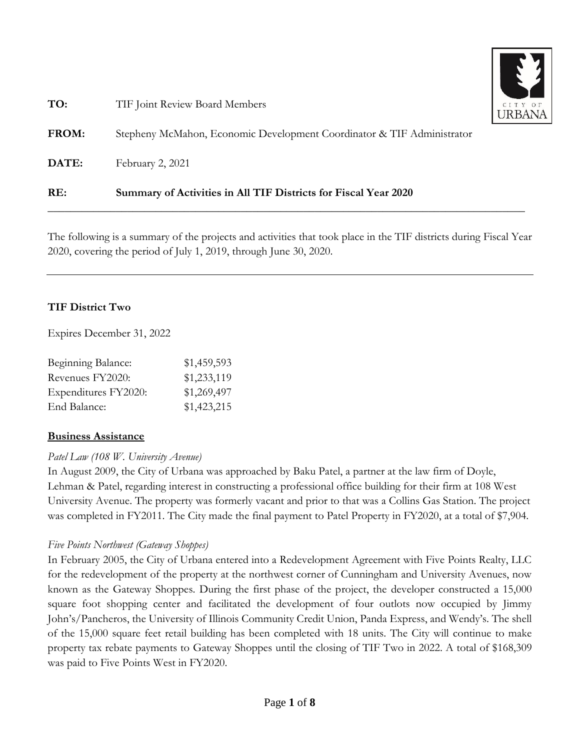

| RE:          | Summary of Activities in All TIF Districts for Fiscal Year 2020        |      |
|--------------|------------------------------------------------------------------------|------|
| DATE:        | February 2, 2021                                                       |      |
| <b>FROM:</b> | Stepheny McMahon, Economic Development Coordinator & TIF Administrator |      |
| TO:          | TIF Joint Review Board Members                                         | CITY |

The following is a summary of the projects and activities that took place in the TIF districts during Fiscal Year 2020, covering the period of July 1, 2019, through June 30, 2020.

# **TIF District Two**

Expires December 31, 2022

| \$1,459,593 |
|-------------|
| \$1,233,119 |
| \$1,269,497 |
| \$1,423,215 |
|             |

### **Business Assistance**

# *Patel Law (108 W. University Avenue)*

In August 2009, the City of Urbana was approached by Baku Patel, a partner at the law firm of Doyle, Lehman & Patel, regarding interest in constructing a professional office building for their firm at 108 West University Avenue. The property was formerly vacant and prior to that was a Collins Gas Station. The project was completed in FY2011. The City made the final payment to Patel Property in FY2020, at a total of \$7,904.

# *Five Points Northwest (Gateway Shoppes)*

In February 2005, the City of Urbana entered into a Redevelopment Agreement with Five Points Realty, LLC for the redevelopment of the property at the northwest corner of Cunningham and University Avenues, now known as the Gateway Shoppes. During the first phase of the project, the developer constructed a 15,000 square foot shopping center and facilitated the development of four outlots now occupied by Jimmy John's/Pancheros, the University of Illinois Community Credit Union, Panda Express, and Wendy's. The shell of the 15,000 square feet retail building has been completed with 18 units. The City will continue to make property tax rebate payments to Gateway Shoppes until the closing of TIF Two in 2022. A total of \$168,309 was paid to Five Points West in FY2020.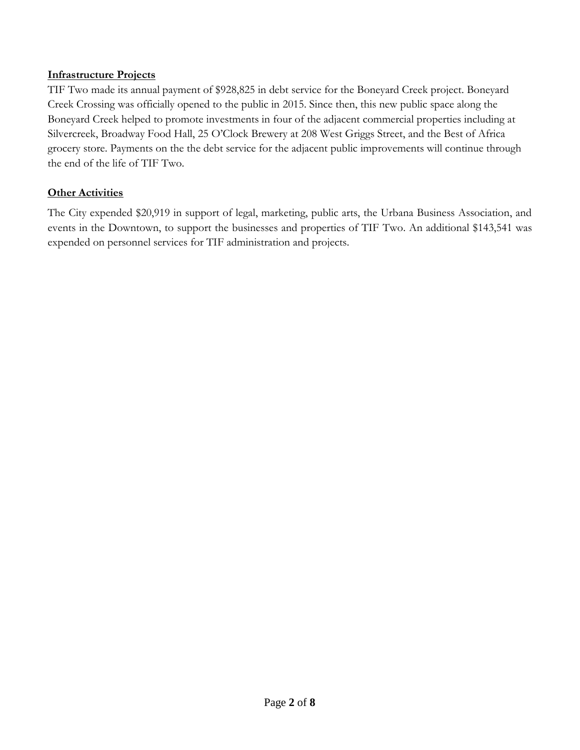#### **Infrastructure Projects**

TIF Two made its annual payment of \$928,825 in debt service for the Boneyard Creek project. Boneyard Creek Crossing was officially opened to the public in 2015. Since then, this new public space along the Boneyard Creek helped to promote investments in four of the adjacent commercial properties including at Silvercreek, Broadway Food Hall, 25 O'Clock Brewery at 208 West Griggs Street, and the Best of Africa grocery store. Payments on the the debt service for the adjacent public improvements will continue through the end of the life of TIF Two.

### **Other Activities**

The City expended \$20,919 in support of legal, marketing, public arts, the Urbana Business Association, and events in the Downtown, to support the businesses and properties of TIF Two. An additional \$143,541 was expended on personnel services for TIF administration and projects.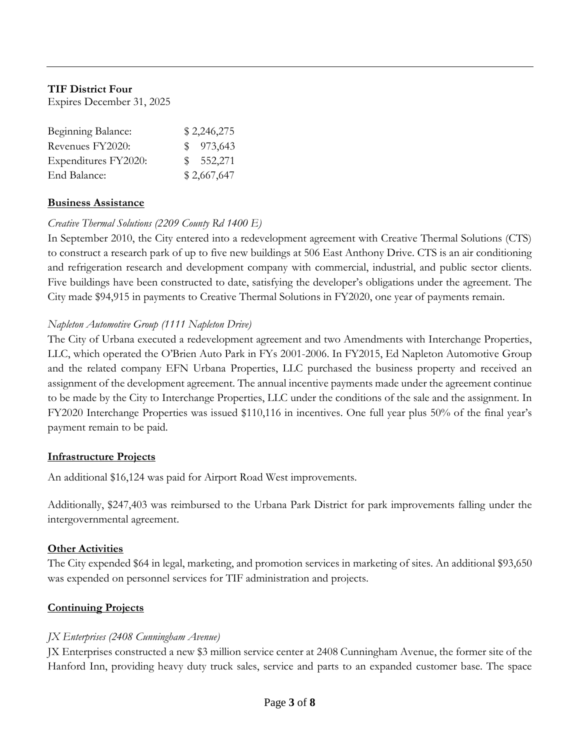### **TIF District Four**

Expires December 31, 2025

| Beginning Balance:   | \$2,246,275 |
|----------------------|-------------|
| Revenues FY2020:     | \$973,643   |
| Expenditures FY2020: | \$552,271   |
| End Balance:         | \$2,667,647 |

#### **Business Assistance**

### *Creative Thermal Solutions (2209 County Rd 1400 E)*

In September 2010, the City entered into a redevelopment agreement with Creative Thermal Solutions (CTS) to construct a research park of up to five new buildings at 506 East Anthony Drive. CTS is an air conditioning and refrigeration research and development company with commercial, industrial, and public sector clients. Five buildings have been constructed to date, satisfying the developer's obligations under the agreement. The City made \$94,915 in payments to Creative Thermal Solutions in FY2020, one year of payments remain.

#### *Napleton Automotive Group (1111 Napleton Drive)*

The City of Urbana executed a redevelopment agreement and two Amendments with Interchange Properties, LLC, which operated the O'Brien Auto Park in FYs 2001-2006. In FY2015, Ed Napleton Automotive Group and the related company EFN Urbana Properties, LLC purchased the business property and received an assignment of the development agreement. The annual incentive payments made under the agreement continue to be made by the City to Interchange Properties, LLC under the conditions of the sale and the assignment. In FY2020 Interchange Properties was issued \$110,116 in incentives. One full year plus 50% of the final year's payment remain to be paid.

#### **Infrastructure Projects**

An additional \$16,124 was paid for Airport Road West improvements.

Additionally, \$247,403 was reimbursed to the Urbana Park District for park improvements falling under the intergovernmental agreement.

### **Other Activities**

The City expended \$64 in legal, marketing, and promotion services in marketing of sites. An additional \$93,650 was expended on personnel services for TIF administration and projects.

### **Continuing Projects**

### *JX Enterprises (2408 Cunningham Avenue)*

JX Enterprises constructed a new \$3 million service center at 2408 Cunningham Avenue, the former site of the Hanford Inn, providing heavy duty truck sales, service and parts to an expanded customer base. The space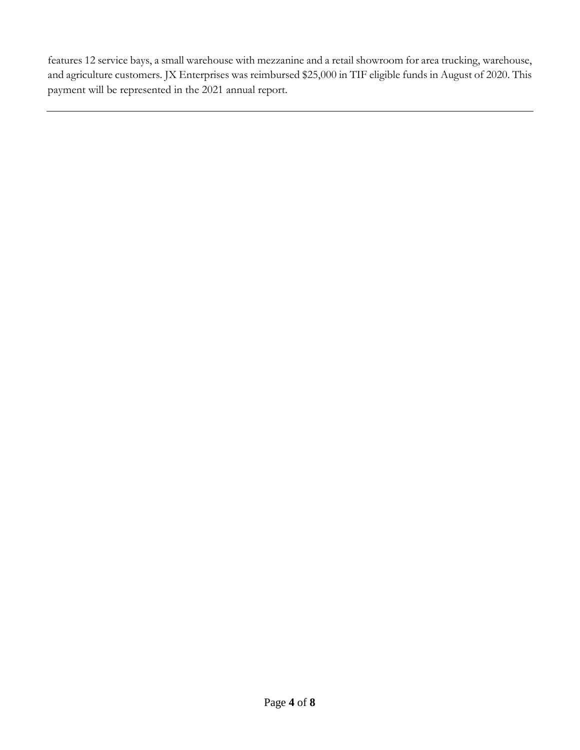features 12 service bays, a small warehouse with mezzanine and a retail showroom for area trucking, warehouse, and agriculture customers. JX Enterprises was reimbursed \$25,000 in TIF eligible funds in August of 2020. This payment will be represented in the 2021 annual report.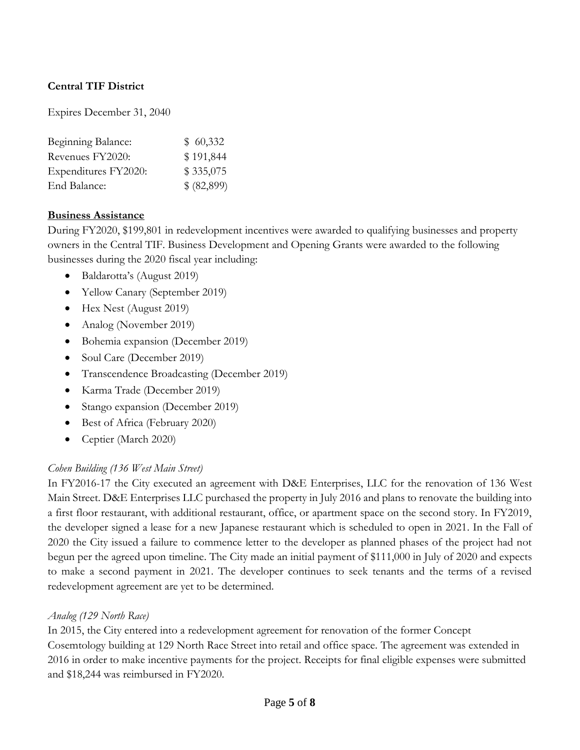# **Central TIF District**

Expires December 31, 2040

| Beginning Balance:   | \$60,332   |
|----------------------|------------|
| Revenues FY2020:     | \$191,844  |
| Expenditures FY2020: | \$335,075  |
| End Balance:         | \$(82,899) |

#### **Business Assistance**

During FY2020, \$199,801 in redevelopment incentives were awarded to qualifying businesses and property owners in the Central TIF. Business Development and Opening Grants were awarded to the following businesses during the 2020 fiscal year including:

- Baldarotta's (August 2019)
- Yellow Canary (September 2019)
- Hex Nest (August 2019)
- Analog (November 2019)
- Bohemia expansion (December 2019)
- Soul Care (December 2019)
- Transcendence Broadcasting (December 2019)
- Karma Trade (December 2019)
- Stango expansion (December 2019)
- Best of Africa (February 2020)
- Ceptier (March 2020)

### *Cohen Building (136 West Main Street)*

In FY2016-17 the City executed an agreement with D&E Enterprises, LLC for the renovation of 136 West Main Street. D&E Enterprises LLC purchased the property in July 2016 and plans to renovate the building into a first floor restaurant, with additional restaurant, office, or apartment space on the second story. In FY2019, the developer signed a lease for a new Japanese restaurant which is scheduled to open in 2021. In the Fall of 2020 the City issued a failure to commence letter to the developer as planned phases of the project had not begun per the agreed upon timeline. The City made an initial payment of \$111,000 in July of 2020 and expects to make a second payment in 2021. The developer continues to seek tenants and the terms of a revised redevelopment agreement are yet to be determined.

#### *Analog (129 North Race)*

In 2015, the City entered into a redevelopment agreement for renovation of the former Concept Cosemtology building at 129 North Race Street into retail and office space. The agreement was extended in 2016 in order to make incentive payments for the project. Receipts for final eligible expenses were submitted and \$18,244 was reimbursed in FY2020.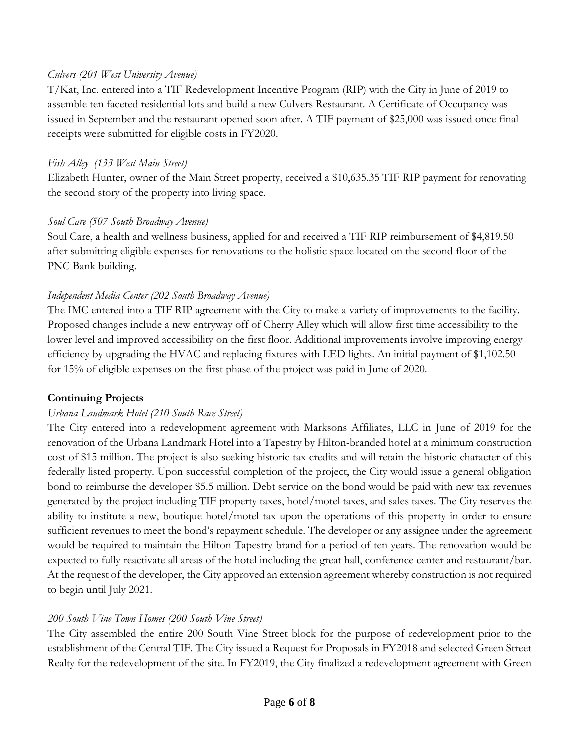### *Culvers (201 West University Avenue)*

T/Kat, Inc. entered into a TIF Redevelopment Incentive Program (RIP) with the City in June of 2019 to assemble ten faceted residential lots and build a new Culvers Restaurant. A Certificate of Occupancy was issued in September and the restaurant opened soon after. A TIF payment of \$25,000 was issued once final receipts were submitted for eligible costs in FY2020.

### *Fish Alley (133 West Main Street)*

Elizabeth Hunter, owner of the Main Street property, received a \$10,635.35 TIF RIP payment for renovating the second story of the property into living space.

# *Soul Care (507 South Broadway Avenue)*

Soul Care, a health and wellness business, applied for and received a TIF RIP reimbursement of \$4,819.50 after submitting eligible expenses for renovations to the holistic space located on the second floor of the PNC Bank building.

# *Independent Media Center (202 South Broadway Avenue)*

The IMC entered into a TIF RIP agreement with the City to make a variety of improvements to the facility. Proposed changes include a new entryway off of Cherry Alley which will allow first time accessibility to the lower level and improved accessibility on the first floor. Additional improvements involve improving energy efficiency by upgrading the HVAC and replacing fixtures with LED lights. An initial payment of \$1,102.50 for 15% of eligible expenses on the first phase of the project was paid in June of 2020.

# **Continuing Projects**

# *Urbana Landmark Hotel (210 South Race Street)*

The City entered into a redevelopment agreement with Marksons Affiliates, LLC in June of 2019 for the renovation of the Urbana Landmark Hotel into a Tapestry by Hilton-branded hotel at a minimum construction cost of \$15 million. The project is also seeking historic tax credits and will retain the historic character of this federally listed property. Upon successful completion of the project, the City would issue a general obligation bond to reimburse the developer \$5.5 million. Debt service on the bond would be paid with new tax revenues generated by the project including TIF property taxes, hotel/motel taxes, and sales taxes. The City reserves the ability to institute a new, boutique hotel/motel tax upon the operations of this property in order to ensure sufficient revenues to meet the bond's repayment schedule. The developer or any assignee under the agreement would be required to maintain the Hilton Tapestry brand for a period of ten years. The renovation would be expected to fully reactivate all areas of the hotel including the great hall, conference center and restaurant/bar. At the request of the developer, the City approved an extension agreement whereby construction is not required to begin until July 2021.

# *200 South Vine Town Homes (200 South Vine Street)*

The City assembled the entire 200 South Vine Street block for the purpose of redevelopment prior to the establishment of the Central TIF. The City issued a Request for Proposals in FY2018 and selected Green Street Realty for the redevelopment of the site. In FY2019, the City finalized a redevelopment agreement with Green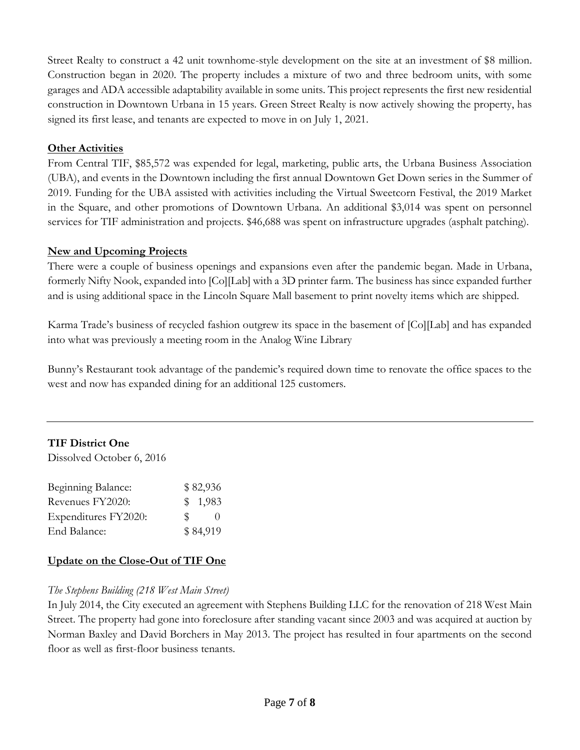Street Realty to construct a 42 unit townhome-style development on the site at an investment of \$8 million. Construction began in 2020. The property includes a mixture of two and three bedroom units, with some garages and ADA accessible adaptability available in some units. This project represents the first new residential construction in Downtown Urbana in 15 years. Green Street Realty is now actively showing the property, has signed its first lease, and tenants are expected to move in on July 1, 2021.

### **Other Activities**

From Central TIF, \$85,572 was expended for legal, marketing, public arts, the Urbana Business Association (UBA), and events in the Downtown including the first annual Downtown Get Down series in the Summer of 2019. Funding for the UBA assisted with activities including the Virtual Sweetcorn Festival, the 2019 Market in the Square, and other promotions of Downtown Urbana. An additional \$3,014 was spent on personnel services for TIF administration and projects. \$46,688 was spent on infrastructure upgrades (asphalt patching).

### **New and Upcoming Projects**

There were a couple of business openings and expansions even after the pandemic began. Made in Urbana, formerly Nifty Nook, expanded into [Co][Lab] with a 3D printer farm. The business has since expanded further and is using additional space in the Lincoln Square Mall basement to print novelty items which are shipped.

Karma Trade's business of recycled fashion outgrew its space in the basement of [Co][Lab] and has expanded into what was previously a meeting room in the Analog Wine Library

Bunny's Restaurant took advantage of the pandemic's required down time to renovate the office spaces to the west and now has expanded dining for an additional 125 customers.

# **TIF District One**

Dissolved October 6, 2016

| Beginning Balance:   |     | \$82,936 |
|----------------------|-----|----------|
| Revenues FY2020:     |     | \$1,983  |
| Expenditures FY2020: | SS. | $\theta$ |
| End Balance:         |     | \$84,919 |

# **Update on the Close-Out of TIF One**

# *The Stephens Building (218 West Main Street)*

In July 2014, the City executed an agreement with Stephens Building LLC for the renovation of 218 West Main Street. The property had gone into foreclosure after standing vacant since 2003 and was acquired at auction by Norman Baxley and David Borchers in May 2013. The project has resulted in four apartments on the second floor as well as first-floor business tenants.